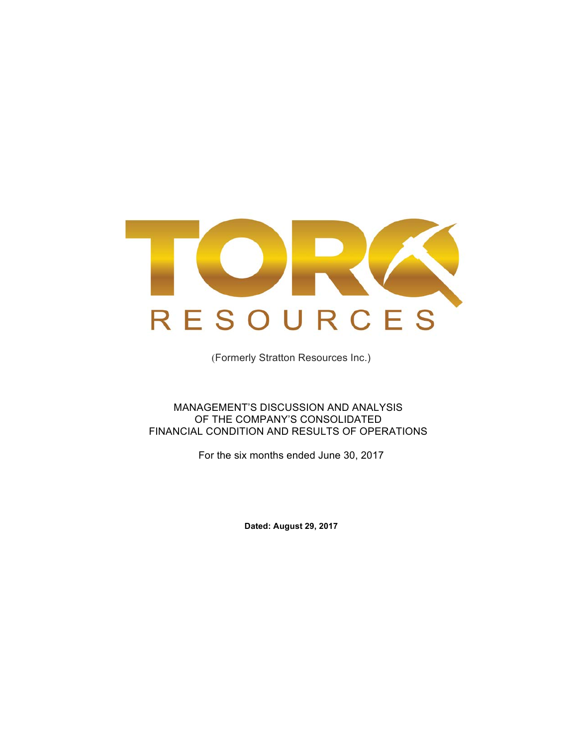

(Formerly Stratton Resources Inc.)

MANAGEMENT'S DISCUSSION AND ANALYSIS OF THE COMPANY'S CONSOLIDATED FINANCIAL CONDITION AND RESULTS OF OPERATIONS

For the six months ended June 30, 2017

**Dated: August 29, 2017**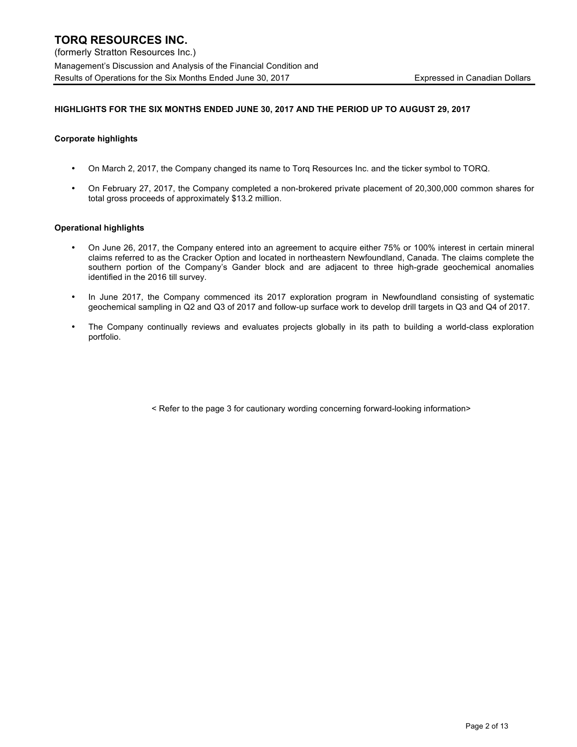#### **HIGHLIGHTS FOR THE SIX MONTHS ENDED JUNE 30, 2017 AND THE PERIOD UP TO AUGUST 29, 2017**

#### **Corporate highlights**

- On March 2, 2017, the Company changed its name to Torq Resources Inc. and the ticker symbol to TORQ.
- On February 27, 2017, the Company completed a non-brokered private placement of 20,300,000 common shares for total gross proceeds of approximately \$13.2 million.

#### **Operational highlights**

- On June 26, 2017, the Company entered into an agreement to acquire either 75% or 100% interest in certain mineral claims referred to as the Cracker Option and located in northeastern Newfoundland, Canada. The claims complete the southern portion of the Company's Gander block and are adjacent to three high-grade geochemical anomalies identified in the 2016 till survey.
- In June 2017, the Company commenced its 2017 exploration program in Newfoundland consisting of systematic geochemical sampling in Q2 and Q3 of 2017 and follow-up surface work to develop drill targets in Q3 and Q4 of 2017.
- The Company continually reviews and evaluates projects globally in its path to building a world-class exploration portfolio.

< Refer to the page 3 for cautionary wording concerning forward-looking information>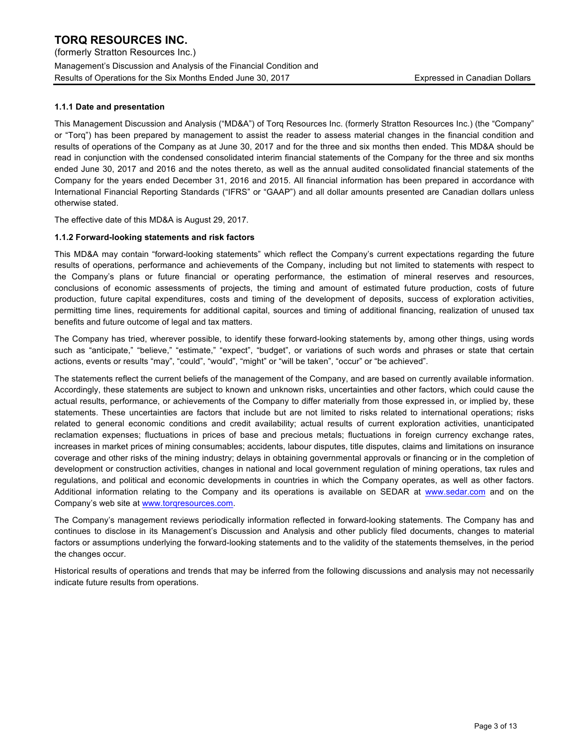(formerly Stratton Resources Inc.) Management's Discussion and Analysis of the Financial Condition and Results of Operations for the Six Months Ended June 30, 2017 The State of Texpressed in Canadian Dollars

#### **1.1.1 Date and presentation**

This Management Discussion and Analysis ("MD&A") of Torq Resources Inc. (formerly Stratton Resources Inc.) (the "Company" or "Torq") has been prepared by management to assist the reader to assess material changes in the financial condition and results of operations of the Company as at June 30, 2017 and for the three and six months then ended. This MD&A should be read in conjunction with the condensed consolidated interim financial statements of the Company for the three and six months ended June 30, 2017 and 2016 and the notes thereto, as well as the annual audited consolidated financial statements of the Company for the years ended December 31, 2016 and 2015. All financial information has been prepared in accordance with International Financial Reporting Standards ("IFRS" or "GAAP") and all dollar amounts presented are Canadian dollars unless otherwise stated.

The effective date of this MD&A is August 29, 2017.

#### **1.1.2 Forward-looking statements and risk factors**

This MD&A may contain "forward-looking statements" which reflect the Company's current expectations regarding the future results of operations, performance and achievements of the Company, including but not limited to statements with respect to the Company's plans or future financial or operating performance, the estimation of mineral reserves and resources, conclusions of economic assessments of projects, the timing and amount of estimated future production, costs of future production, future capital expenditures, costs and timing of the development of deposits, success of exploration activities, permitting time lines, requirements for additional capital, sources and timing of additional financing, realization of unused tax benefits and future outcome of legal and tax matters.

The Company has tried, wherever possible, to identify these forward-looking statements by, among other things, using words such as "anticipate," "believe," "estimate," "expect", "budget", or variations of such words and phrases or state that certain actions, events or results "may", "could", "would", "might" or "will be taken", "occur" or "be achieved".

The statements reflect the current beliefs of the management of the Company, and are based on currently available information. Accordingly, these statements are subject to known and unknown risks, uncertainties and other factors, which could cause the actual results, performance, or achievements of the Company to differ materially from those expressed in, or implied by, these statements. These uncertainties are factors that include but are not limited to risks related to international operations; risks related to general economic conditions and credit availability; actual results of current exploration activities, unanticipated reclamation expenses; fluctuations in prices of base and precious metals; fluctuations in foreign currency exchange rates, increases in market prices of mining consumables; accidents, labour disputes, title disputes, claims and limitations on insurance coverage and other risks of the mining industry; delays in obtaining governmental approvals or financing or in the completion of development or construction activities, changes in national and local government regulation of mining operations, tax rules and regulations, and political and economic developments in countries in which the Company operates, as well as other factors. Additional information relating to the Company and its operations is available on SEDAR at www.sedar.com and on the Company's web site at www.torqresources.com.

The Company's management reviews periodically information reflected in forward-looking statements. The Company has and continues to disclose in its Management's Discussion and Analysis and other publicly filed documents, changes to material factors or assumptions underlying the forward-looking statements and to the validity of the statements themselves, in the period the changes occur.

Historical results of operations and trends that may be inferred from the following discussions and analysis may not necessarily indicate future results from operations.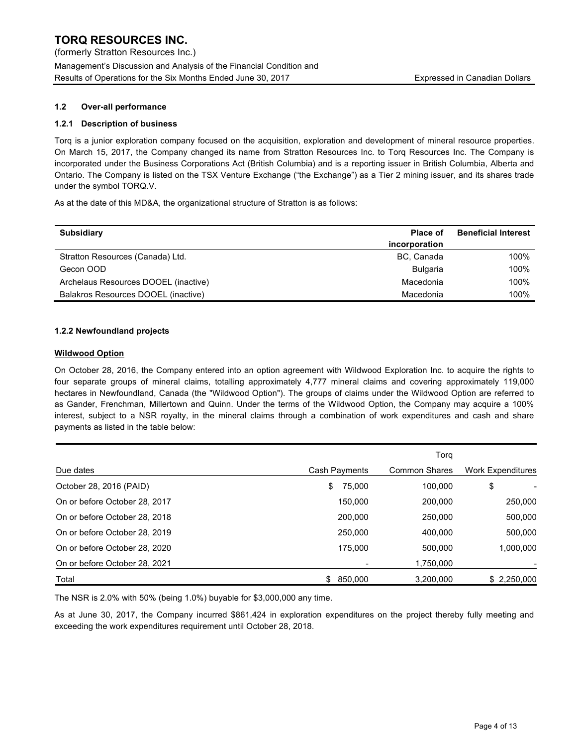## **1.2 Over-all performance**

## **1.2.1 Description of business**

Torq is a junior exploration company focused on the acquisition, exploration and development of mineral resource properties. On March 15, 2017, the Company changed its name from Stratton Resources Inc. to Torq Resources Inc. The Company is incorporated under the Business Corporations Act (British Columbia) and is a reporting issuer in British Columbia, Alberta and Ontario. The Company is listed on the TSX Venture Exchange ("the Exchange") as a Tier 2 mining issuer, and its shares trade under the symbol TORQ.V.

As at the date of this MD&A, the organizational structure of Stratton is as follows:

| <b>Subsidiary</b>                    | <b>Place of</b> | <b>Beneficial Interest</b> |
|--------------------------------------|-----------------|----------------------------|
|                                      | incorporation   |                            |
| Stratton Resources (Canada) Ltd.     | BC, Canada      | 100%                       |
| Gecon OOD                            | <b>Bulgaria</b> | 100%                       |
| Archelaus Resources DOOEL (inactive) | Macedonia       | 100%                       |
| Balakros Resources DOOEL (inactive)  | Macedonia       | 100%                       |

## **1.2.2 Newfoundland projects**

## **Wildwood Option**

On October 28, 2016, the Company entered into an option agreement with Wildwood Exploration Inc. to acquire the rights to four separate groups of mineral claims, totalling approximately 4,777 mineral claims and covering approximately 119,000 hectares in Newfoundland, Canada (the "Wildwood Option"). The groups of claims under the Wildwood Option are referred to as Gander, Frenchman, Millertown and Quinn. Under the terms of the Wildwood Option, the Company may acquire a 100% interest, subject to a NSR royalty, in the mineral claims through a combination of work expenditures and cash and share payments as listed in the table below:

|                               |               | Torg                 |                          |
|-------------------------------|---------------|----------------------|--------------------------|
| Due dates                     | Cash Payments | <b>Common Shares</b> | <b>Work Expenditures</b> |
| October 28, 2016 (PAID)       | 75,000<br>\$  | 100,000              | \$                       |
| On or before October 28, 2017 | 150.000       | 200.000              | 250,000                  |
| On or before October 28, 2018 | 200,000       | 250,000              | 500.000                  |
| On or before October 28, 2019 | 250,000       | 400.000              | 500.000                  |
| On or before October 28, 2020 | 175,000       | 500.000              | 1,000,000                |
| On or before October 28, 2021 |               | 1,750,000            |                          |
| Total                         | \$<br>850.000 | 3,200,000            | \$2,250,000              |

The NSR is 2.0% with 50% (being 1.0%) buyable for \$3,000,000 any time.

As at June 30, 2017, the Company incurred \$861,424 in exploration expenditures on the project thereby fully meeting and exceeding the work expenditures requirement until October 28, 2018.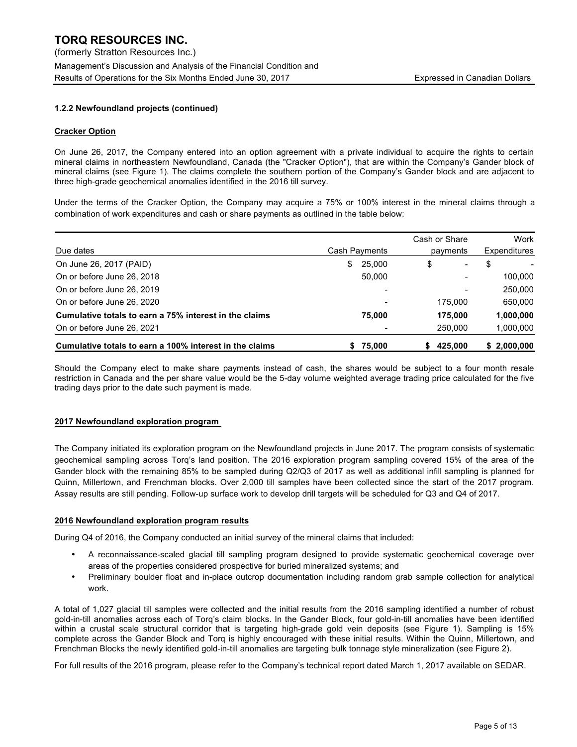## **1.2.2 Newfoundland projects (continued)**

#### **Cracker Option**

On June 26, 2017, the Company entered into an option agreement with a private individual to acquire the rights to certain mineral claims in northeastern Newfoundland, Canada (the "Cracker Option"), that are within the Company's Gander block of mineral claims (see Figure 1). The claims complete the southern portion of the Company's Gander block and are adjacent to three high-grade geochemical anomalies identified in the 2016 till survey.

Under the terms of the Cracker Option, the Company may acquire a 75% or 100% interest in the mineral claims through a combination of work expenditures and cash or share payments as outlined in the table below:

|                                                         |     |                           | Cash or Share |         |              | Work        |
|---------------------------------------------------------|-----|---------------------------|---------------|---------|--------------|-------------|
| Due dates                                               |     | Cash Payments<br>payments |               |         | Expenditures |             |
| On June 26, 2017 (PAID)                                 | \$. | 25,000                    | \$            | -       | S            |             |
| On or before June 26, 2018                              |     | 50,000                    |               |         |              | 100,000     |
| On or before June 26, 2019                              |     |                           |               |         |              | 250,000     |
| On or before June 26, 2020                              |     |                           |               | 175.000 |              | 650,000     |
| Cumulative totals to earn a 75% interest in the claims  |     | 75,000                    |               | 175.000 |              | 1,000,000   |
| On or before June 26, 2021                              |     |                           |               | 250.000 |              | 1,000,000   |
| Cumulative totals to earn a 100% interest in the claims |     | 75,000                    |               | 425.000 |              | \$2,000,000 |

Should the Company elect to make share payments instead of cash, the shares would be subject to a four month resale restriction in Canada and the per share value would be the 5-day volume weighted average trading price calculated for the five trading days prior to the date such payment is made.

#### **2017 Newfoundland exploration program**

The Company initiated its exploration program on the Newfoundland projects in June 2017. The program consists of systematic geochemical sampling across Torq's land position. The 2016 exploration program sampling covered 15% of the area of the Gander block with the remaining 85% to be sampled during Q2/Q3 of 2017 as well as additional infill sampling is planned for Quinn, Millertown, and Frenchman blocks. Over 2,000 till samples have been collected since the start of the 2017 program. Assay results are still pending. Follow-up surface work to develop drill targets will be scheduled for Q3 and Q4 of 2017.

#### **2016 Newfoundland exploration program results**

During Q4 of 2016, the Company conducted an initial survey of the mineral claims that included:

- A reconnaissance-scaled glacial till sampling program designed to provide systematic geochemical coverage over areas of the properties considered prospective for buried mineralized systems; and
- Preliminary boulder float and in-place outcrop documentation including random grab sample collection for analytical work.

A total of 1,027 glacial till samples were collected and the initial results from the 2016 sampling identified a number of robust gold-in-till anomalies across each of Torq's claim blocks. In the Gander Block, four gold-in-till anomalies have been identified within a crustal scale structural corridor that is targeting high-grade gold vein deposits (see Figure 1). Sampling is 15% complete across the Gander Block and Torq is highly encouraged with these initial results. Within the Quinn, Millertown, and Frenchman Blocks the newly identified gold-in-till anomalies are targeting bulk tonnage style mineralization (see Figure 2).

For full results of the 2016 program, please refer to the Company's technical report dated March 1, 2017 available on SEDAR.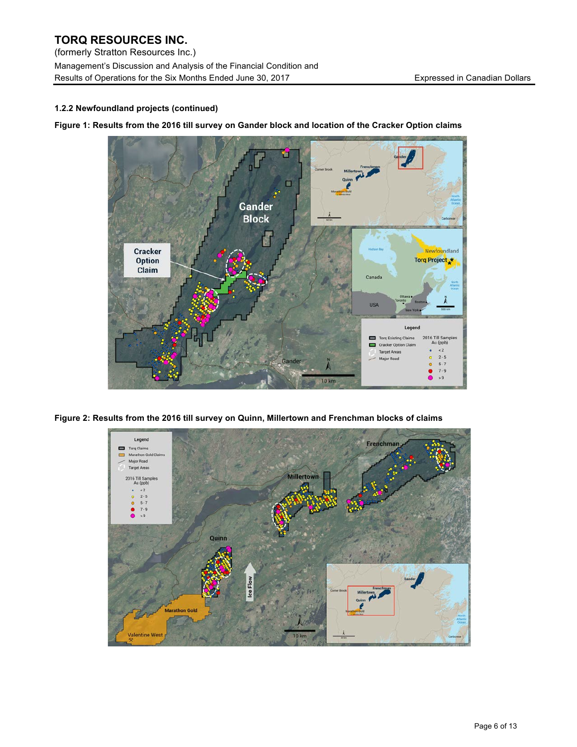# **TORQ RESOURCES INC.**  (formerly Stratton Resources Inc.)

Management's Discussion and Analysis of the Financial Condition and Results of Operations for the Six Months Ended June 30, 2017 **Expressed in Canadian Dollars** 

## **1.2.2 Newfoundland projects (continued)**

**Figure 1: Results from the 2016 till survey on Gander block and location of the Cracker Option claims** 



**Figure 2: Results from the 2016 till survey on Quinn, Millertown and Frenchman blocks of claims**

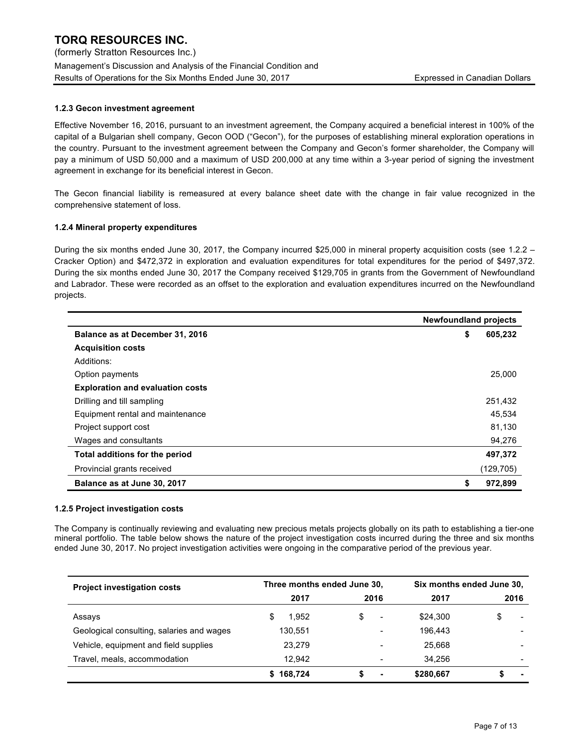#### **1.2.3 Gecon investment agreement**

Effective November 16, 2016, pursuant to an investment agreement, the Company acquired a beneficial interest in 100% of the capital of a Bulgarian shell company, Gecon OOD ("Gecon"), for the purposes of establishing mineral exploration operations in the country. Pursuant to the investment agreement between the Company and Gecon's former shareholder, the Company will pay a minimum of USD 50,000 and a maximum of USD 200,000 at any time within a 3-year period of signing the investment agreement in exchange for its beneficial interest in Gecon.

The Gecon financial liability is remeasured at every balance sheet date with the change in fair value recognized in the comprehensive statement of loss.

#### **1.2.4 Mineral property expenditures**

During the six months ended June 30, 2017, the Company incurred \$25,000 in mineral property acquisition costs (see 1.2.2 – Cracker Option) and \$472,372 in exploration and evaluation expenditures for total expenditures for the period of \$497,372. During the six months ended June 30, 2017 the Company received \$129,705 in grants from the Government of Newfoundland and Labrador. These were recorded as an offset to the exploration and evaluation expenditures incurred on the Newfoundland projects.

|                                         | <b>Newfoundland projects</b> |  |
|-----------------------------------------|------------------------------|--|
| Balance as at December 31, 2016         | \$<br>605,232                |  |
| <b>Acquisition costs</b>                |                              |  |
| Additions:                              |                              |  |
| Option payments                         | 25,000                       |  |
| <b>Exploration and evaluation costs</b> |                              |  |
| Drilling and till sampling              | 251,432                      |  |
| Equipment rental and maintenance        | 45,534                       |  |
| Project support cost                    | 81,130                       |  |
| Wages and consultants                   | 94,276                       |  |
| Total additions for the period          | 497,372                      |  |
| Provincial grants received              | (129, 705)                   |  |
| Balance as at June 30, 2017             | S<br>972,899                 |  |

#### **1.2.5 Project investigation costs**

The Company is continually reviewing and evaluating new precious metals projects globally on its path to establishing a tier-one mineral portfolio. The table below shows the nature of the project investigation costs incurred during the three and six months ended June 30, 2017. No project investigation activities were ongoing in the comparative period of the previous year.

| <b>Project investigation costs</b>        | Three months ended June 30, |      | Six months ended June 30, |                                |  |
|-------------------------------------------|-----------------------------|------|---------------------------|--------------------------------|--|
|                                           | 2017                        | 2016 | 2017                      | 2016                           |  |
| Assays                                    | 1.952                       | -    | \$24,300                  | \$<br>$\overline{\phantom{a}}$ |  |
| Geological consulting, salaries and wages | 130.551                     |      | 196.443                   |                                |  |
| Vehicle, equipment and field supplies     | 23.279                      |      | 25.668                    |                                |  |
| Travel, meals, accommodation              | 12.942                      |      | 34.256                    |                                |  |
|                                           | 168,724                     | ۰    | \$280,667                 |                                |  |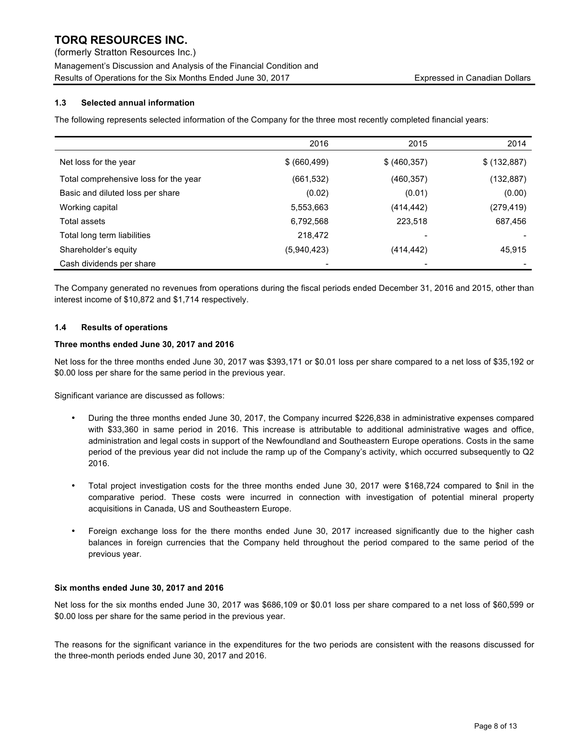(formerly Stratton Resources Inc.)

Management's Discussion and Analysis of the Financial Condition and Results of Operations for the Six Months Ended June 30, 2017 **Expressed in Canadian Dollars** Expressed in Canadian Dollars

## **1.3 Selected annual information**

The following represents selected information of the Company for the three most recently completed financial years:

|                                       | 2016          | 2015          | 2014         |
|---------------------------------------|---------------|---------------|--------------|
| Net loss for the year                 | \$ (660, 499) | \$ (460, 357) | \$ (132,887) |
| Total comprehensive loss for the year | (661, 532)    | (460, 357)    | (132, 887)   |
| Basic and diluted loss per share      | (0.02)        | (0.01)        | (0.00)       |
| Working capital                       | 5,553,663     | (414,442)     | (279, 419)   |
| Total assets                          | 6,792,568     | 223,518       | 687,456      |
| Total long term liabilities           | 218,472       |               |              |
| Shareholder's equity                  | (5,940,423)   | (414,442)     | 45,915       |
| Cash dividends per share              |               |               |              |

The Company generated no revenues from operations during the fiscal periods ended December 31, 2016 and 2015, other than interest income of \$10,872 and \$1,714 respectively.

#### **1.4 Results of operations**

#### **Three months ended June 30, 2017 and 2016**

Net loss for the three months ended June 30, 2017 was \$393,171 or \$0.01 loss per share compared to a net loss of \$35,192 or \$0.00 loss per share for the same period in the previous year.

Significant variance are discussed as follows:

- During the three months ended June 30, 2017, the Company incurred \$226,838 in administrative expenses compared with \$33,360 in same period in 2016. This increase is attributable to additional administrative wages and office, administration and legal costs in support of the Newfoundland and Southeastern Europe operations. Costs in the same period of the previous year did not include the ramp up of the Company's activity, which occurred subsequently to Q2 2016.
- Total project investigation costs for the three months ended June 30, 2017 were \$168,724 compared to \$nil in the comparative period. These costs were incurred in connection with investigation of potential mineral property acquisitions in Canada, US and Southeastern Europe.
- Foreign exchange loss for the there months ended June 30, 2017 increased significantly due to the higher cash balances in foreign currencies that the Company held throughout the period compared to the same period of the previous year.

#### **Six months ended June 30, 2017 and 2016**

Net loss for the six months ended June 30, 2017 was \$686,109 or \$0.01 loss per share compared to a net loss of \$60,599 or \$0.00 loss per share for the same period in the previous year.

The reasons for the significant variance in the expenditures for the two periods are consistent with the reasons discussed for the three-month periods ended June 30, 2017 and 2016.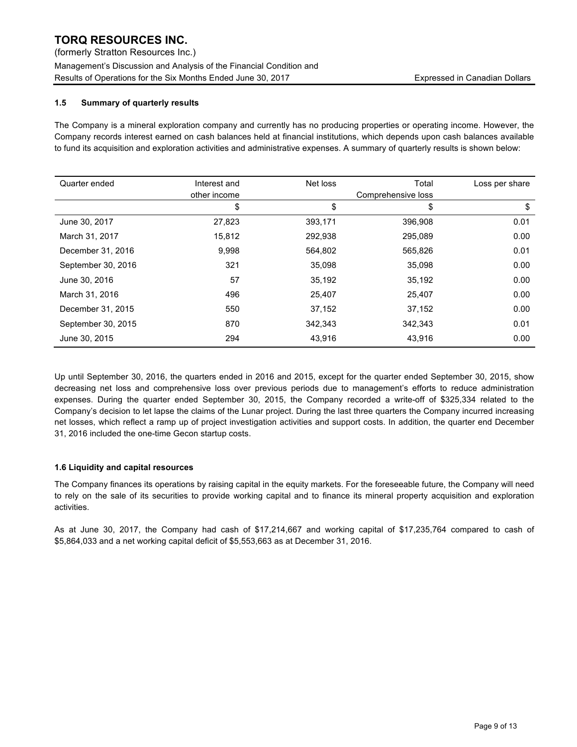(formerly Stratton Resources Inc.) Management's Discussion and Analysis of the Financial Condition and Results of Operations for the Six Months Ended June 30, 2017 **Expressed in Canadian Dollars** Expressed in Canadian Dollars

## **1.5 Summary of quarterly results**

The Company is a mineral exploration company and currently has no producing properties or operating income. However, the Company records interest earned on cash balances held at financial institutions, which depends upon cash balances available to fund its acquisition and exploration activities and administrative expenses. A summary of quarterly results is shown below:

| Quarter ended      | Interest and | Net loss | Total              | Loss per share |
|--------------------|--------------|----------|--------------------|----------------|
|                    | other income |          | Comprehensive loss |                |
|                    | \$           | \$       | \$                 | \$             |
| June 30, 2017      | 27,823       | 393,171  | 396,908            | 0.01           |
| March 31, 2017     | 15,812       | 292,938  | 295,089            | 0.00           |
| December 31, 2016  | 9,998        | 564,802  | 565,826            | 0.01           |
| September 30, 2016 | 321          | 35,098   | 35,098             | 0.00           |
| June 30, 2016      | 57           | 35,192   | 35,192             | 0.00           |
| March 31, 2016     | 496          | 25,407   | 25,407             | 0.00           |
| December 31, 2015  | 550          | 37,152   | 37,152             | 0.00           |
| September 30, 2015 | 870          | 342.343  | 342,343            | 0.01           |
| June 30, 2015      | 294          | 43,916   | 43,916             | 0.00           |

Up until September 30, 2016, the quarters ended in 2016 and 2015, except for the quarter ended September 30, 2015, show decreasing net loss and comprehensive loss over previous periods due to management's efforts to reduce administration expenses. During the quarter ended September 30, 2015, the Company recorded a write-off of \$325,334 related to the Company's decision to let lapse the claims of the Lunar project. During the last three quarters the Company incurred increasing net losses, which reflect a ramp up of project investigation activities and support costs. In addition, the quarter end December 31, 2016 included the one-time Gecon startup costs.

#### **1.6 Liquidity and capital resources**

The Company finances its operations by raising capital in the equity markets. For the foreseeable future, the Company will need to rely on the sale of its securities to provide working capital and to finance its mineral property acquisition and exploration activities.

As at June 30, 2017, the Company had cash of \$17,214,667 and working capital of \$17,235,764 compared to cash of \$5,864,033 and a net working capital deficit of \$5,553,663 as at December 31, 2016.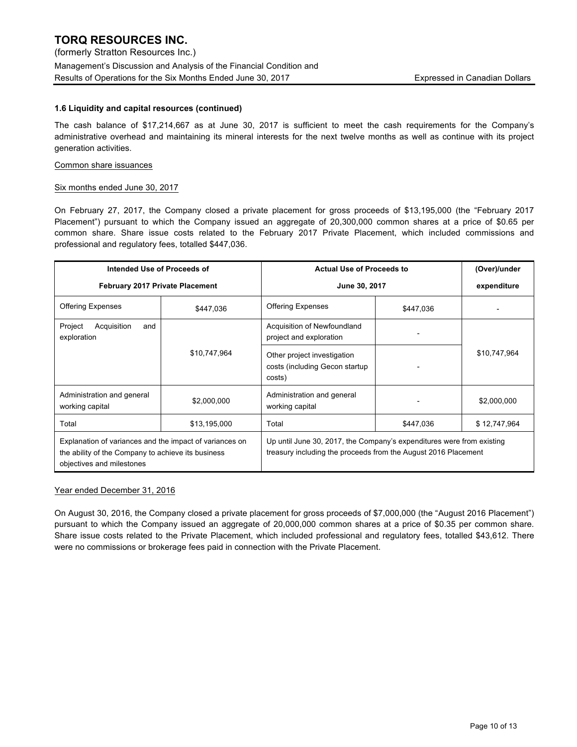#### **1.6 Liquidity and capital resources (continued)**

The cash balance of \$17,214,667 as at June 30, 2017 is sufficient to meet the cash requirements for the Company's administrative overhead and maintaining its mineral interests for the next twelve months as well as continue with its project generation activities.

#### Common share issuances

#### Six months ended June 30, 2017

On February 27, 2017, the Company closed a private placement for gross proceeds of \$13,195,000 (the "February 2017 Placement") pursuant to which the Company issued an aggregate of 20,300,000 common shares at a price of \$0.65 per common share. Share issue costs related to the February 2017 Private Placement, which included commissions and professional and regulatory fees, totalled \$447,036.

| Intended Use of Proceeds of<br><b>Actual Use of Proceeds to</b>                                                                            |                                        |                                                                                                                                         |               | (Over)/under |  |
|--------------------------------------------------------------------------------------------------------------------------------------------|----------------------------------------|-----------------------------------------------------------------------------------------------------------------------------------------|---------------|--------------|--|
|                                                                                                                                            | <b>February 2017 Private Placement</b> |                                                                                                                                         | June 30, 2017 |              |  |
| <b>Offering Expenses</b>                                                                                                                   | \$447,036                              | <b>Offering Expenses</b>                                                                                                                | \$447,036     |              |  |
| Project<br>Acquisition<br>and<br>exploration                                                                                               |                                        | Acquisition of Newfoundland<br>project and exploration                                                                                  |               |              |  |
| \$10,747,964<br>Other project investigation<br>costs (including Gecon startup<br>costs)                                                    |                                        |                                                                                                                                         | \$10,747,964  |              |  |
| Administration and general<br>working capital                                                                                              | \$2,000,000                            | Administration and general<br>working capital                                                                                           |               | \$2,000,000  |  |
| Total                                                                                                                                      | \$13,195,000                           | Total                                                                                                                                   | \$447,036     | \$12,747,964 |  |
| Explanation of variances and the impact of variances on<br>the ability of the Company to achieve its business<br>objectives and milestones |                                        | Up until June 30, 2017, the Company's expenditures were from existing<br>treasury including the proceeds from the August 2016 Placement |               |              |  |

#### Year ended December 31, 2016

On August 30, 2016, the Company closed a private placement for gross proceeds of \$7,000,000 (the "August 2016 Placement") pursuant to which the Company issued an aggregate of 20,000,000 common shares at a price of \$0.35 per common share. Share issue costs related to the Private Placement, which included professional and regulatory fees, totalled \$43,612. There were no commissions or brokerage fees paid in connection with the Private Placement.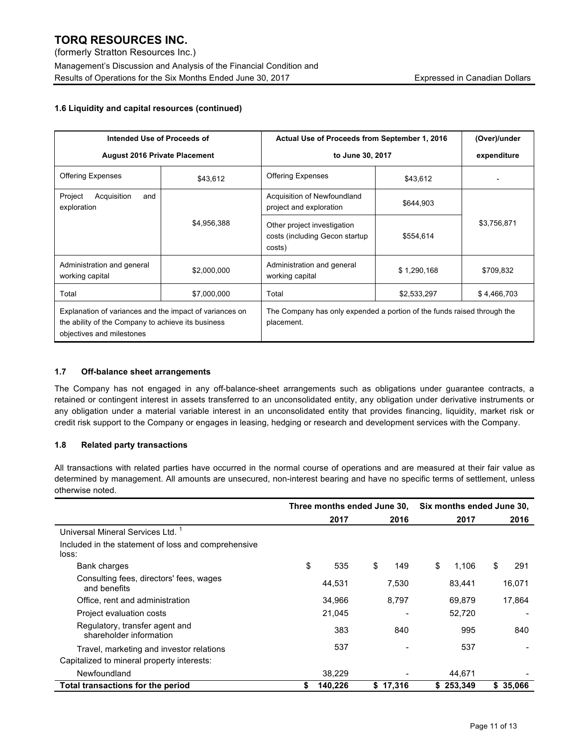## **1.6 Liquidity and capital resources (continued)**

| Intended Use of Proceeds of                                                                                                                |                                                        | Actual Use of Proceeds from September 1, 2016                                         |                  | (Over)/under |  |
|--------------------------------------------------------------------------------------------------------------------------------------------|--------------------------------------------------------|---------------------------------------------------------------------------------------|------------------|--------------|--|
| <b>August 2016 Private Placement</b>                                                                                                       |                                                        |                                                                                       | to June 30, 2017 |              |  |
| <b>Offering Expenses</b>                                                                                                                   | \$43,612                                               | <b>Offering Expenses</b>                                                              | \$43,612         |              |  |
| Project<br>Acquisition<br>and<br>exploration                                                                                               | Acquisition of Newfoundland<br>project and exploration |                                                                                       | \$644,903        |              |  |
|                                                                                                                                            | \$4,956,388                                            | Other project investigation<br>costs (including Gecon startup<br>costs)               | \$554,614        | \$3,756,871  |  |
| Administration and general<br>working capital                                                                                              | \$2,000,000                                            | Administration and general<br>working capital                                         | \$1,290,168      | \$709,832    |  |
| Total                                                                                                                                      | \$7,000,000                                            | Total                                                                                 | \$2,533,297      | \$4,466,703  |  |
| Explanation of variances and the impact of variances on<br>the ability of the Company to achieve its business<br>objectives and milestones |                                                        | The Company has only expended a portion of the funds raised through the<br>placement. |                  |              |  |

## **1.7 Off-balance sheet arrangements**

The Company has not engaged in any off-balance-sheet arrangements such as obligations under guarantee contracts, a retained or contingent interest in assets transferred to an unconsolidated entity, any obligation under derivative instruments or any obligation under a material variable interest in an unconsolidated entity that provides financing, liquidity, market risk or credit risk support to the Company or engages in leasing, hedging or research and development services with the Company.

## **1.8 Related party transactions**

All transactions with related parties have occurred in the normal course of operations and are measured at their fair value as determined by management. All amounts are unsecured, non-interest bearing and have no specific terms of settlement, unless otherwise noted.

|                                                              | Three months ended June 30, |         |    |          | Six months ended June 30, |           |   |           |
|--------------------------------------------------------------|-----------------------------|---------|----|----------|---------------------------|-----------|---|-----------|
|                                                              |                             | 2017    |    | 2016     |                           | 2017      |   | 2016      |
| Universal Mineral Services Ltd. <sup>1</sup>                 |                             |         |    |          |                           |           |   |           |
| Included in the statement of loss and comprehensive<br>loss: |                             |         |    |          |                           |           |   |           |
| Bank charges                                                 | \$                          | 535     | \$ | 149      | \$                        | 1,106     | S | 291       |
| Consulting fees, directors' fees, wages<br>and benefits      |                             | 44,531  |    | 7,530    |                           | 83,441    |   | 16,071    |
| Office, rent and administration                              |                             | 34,966  |    | 8,797    |                           | 69,879    |   | 17,864    |
| Project evaluation costs                                     |                             | 21,045  |    |          |                           | 52,720    |   |           |
| Regulatory, transfer agent and<br>shareholder information    |                             | 383     |    | 840      |                           | 995       |   | 840       |
| Travel, marketing and investor relations                     |                             | 537     |    |          |                           | 537       |   |           |
| Capitalized to mineral property interests:                   |                             |         |    |          |                           |           |   |           |
| Newfoundland                                                 |                             | 38,229  |    |          |                           | 44.671    |   |           |
| Total transactions for the period                            |                             | 140,226 |    | \$17,316 |                           | \$253,349 |   | \$ 35,066 |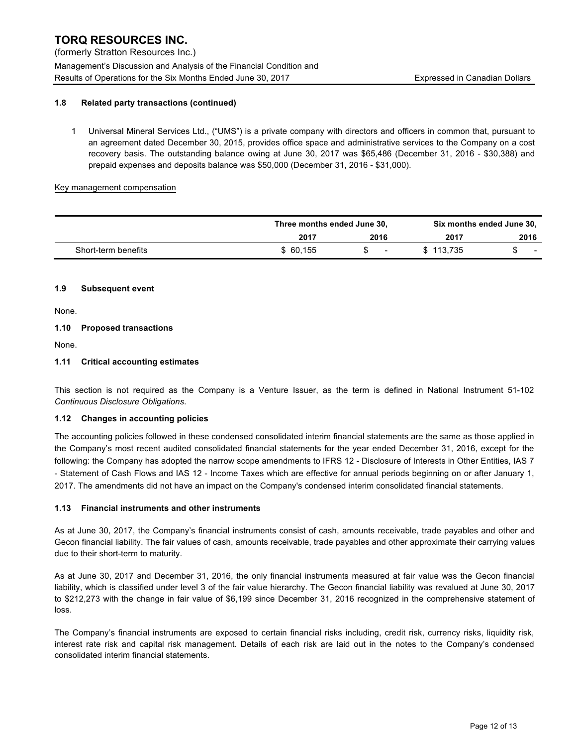(formerly Stratton Resources Inc.)

Management's Discussion and Analysis of the Financial Condition and Results of Operations for the Six Months Ended June 30, 2017 **Expressed in Canadian Dollars** Expressed in Canadian Dollars

## **1.8 Related party transactions (continued)**

1 Universal Mineral Services Ltd., ("UMS") is a private company with directors and officers in common that, pursuant to an agreement dated December 30, 2015, provides office space and administrative services to the Company on a cost recovery basis. The outstanding balance owing at June 30, 2017 was \$65,486 (December 31, 2016 - \$30,388) and prepaid expenses and deposits balance was \$50,000 (December 31, 2016 - \$31,000).

#### Key management compensation

|                     | Three months ended June 30, | Six months ended June 30, |           |        |
|---------------------|-----------------------------|---------------------------|-----------|--------|
|                     | 2017                        | 2016                      | 2017      | 2016   |
| Short-term benefits | \$60.155                    | $\sim$                    | \$113.735 | $\sim$ |

## **1.9 Subsequent event**

None.

## **1.10 Proposed transactions**

None.

## **1.11 Critical accounting estimates**

This section is not required as the Company is a Venture Issuer, as the term is defined in National Instrument 51-102 *Continuous Disclosure Obligations*.

#### **1.12 Changes in accounting policies**

The accounting policies followed in these condensed consolidated interim financial statements are the same as those applied in the Company's most recent audited consolidated financial statements for the year ended December 31, 2016, except for the following: the Company has adopted the narrow scope amendments to IFRS 12 - Disclosure of Interests in Other Entities, IAS 7 - Statement of Cash Flows and IAS 12 - Income Taxes which are effective for annual periods beginning on or after January 1, 2017. The amendments did not have an impact on the Company's condensed interim consolidated financial statements.

## **1.13 Financial instruments and other instruments**

As at June 30, 2017, the Company's financial instruments consist of cash, amounts receivable, trade payables and other and Gecon financial liability. The fair values of cash, amounts receivable, trade payables and other approximate their carrying values due to their short-term to maturity.

As at June 30, 2017 and December 31, 2016, the only financial instruments measured at fair value was the Gecon financial liability, which is classified under level 3 of the fair value hierarchy. The Gecon financial liability was revalued at June 30, 2017 to \$212,273 with the change in fair value of \$6,199 since December 31, 2016 recognized in the comprehensive statement of loss.

The Company's financial instruments are exposed to certain financial risks including, credit risk, currency risks, liquidity risk, interest rate risk and capital risk management. Details of each risk are laid out in the notes to the Company's condensed consolidated interim financial statements.